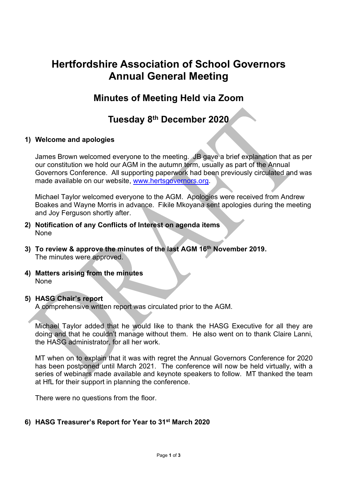# Hertfordshire Association of School Governors Annual General Meeting

## Minutes of Meeting Held via Zoom

## Tuesday 8th December 2020

### 1) Welcome and apologies

James Brown welcomed everyone to the meeting. JB gave a brief explanation that as per our constitution we hold our AGM in the autumn term, usually as part of the Annual Governors Conference. All supporting paperwork had been previously circulated and was made available on our website, www.hertsgovernors.org.

Michael Taylor welcomed everyone to the AGM. Apologies were received from Andrew Boakes and Wayne Morris in advance. Fikile Mkoyana sent apologies during the meeting and Joy Ferguson shortly after.

- 2) Notification of any Conflicts of Interest on agenda items None
- 3) To review & approve the minutes of the last AGM 16<sup>th</sup> November 2019. The minutes were approved.
- 4) Matters arising from the minutes None

#### 5) HASG Chair's report

A comprehensive written report was circulated prior to the AGM.

Michael Taylor added that he would like to thank the HASG Executive for all they are doing and that he couldn't manage without them. He also went on to thank Claire Lanni, the HASG administrator, for all her work.

MT when on to explain that it was with regret the Annual Governors Conference for 2020 has been postponed until March 2021. The conference will now be held virtually, with a series of webinars made available and keynote speakers to follow. MT thanked the team at HfL for their support in planning the conference.

There were no questions from the floor.

### 6) HASG Treasurer's Report for Year to 31st March 2020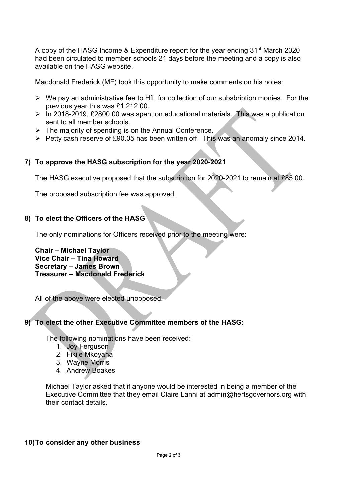A copy of the HASG Income & Expenditure report for the year ending 31st March 2020 had been circulated to member schools 21 days before the meeting and a copy is also available on the HASG website.

Macdonald Frederick (MF) took this opportunity to make comments on his notes:

- $\triangleright$  We pay an administrative fee to HfL for collection of our subsbription monies. For the previous year this was £1,212.00.
- $\triangleright$  In 2018-2019, £2800.00 was spent on educational materials. This was a publication sent to all member schools.
- $\triangleright$  The majority of spending is on the Annual Conference.
- $\triangleright$  Petty cash reserve of £90.05 has been written off. This was an anomaly since 2014.

#### 7) To approve the HASG subscription for the year 2020-2021

The HASG executive proposed that the subscription for 2020-2021 to remain at £85.00.

The proposed subscription fee was approved.

#### 8) To elect the Officers of the HASG

The only nominations for Officers received prior to the meeting were:

Chair – Michael Taylor Vice Chair – Tina Howard Secretary – James Brown Treasurer – Macdonald Frederick

All of the above were elected unopposed.

#### í 9) To elect the other Executive Committee members of the HASG:

The following nominations have been received:

- 1. Joy Ferguson
- 2. Fikile Mkoyana
- 3. Wayne Morris
- 4. Andrew Boakes

Michael Taylor asked that if anyone would be interested in being a member of the Executive Committee that they email Claire Lanni at admin@hertsgovernors.org with their contact details.

#### 10) To consider any other business